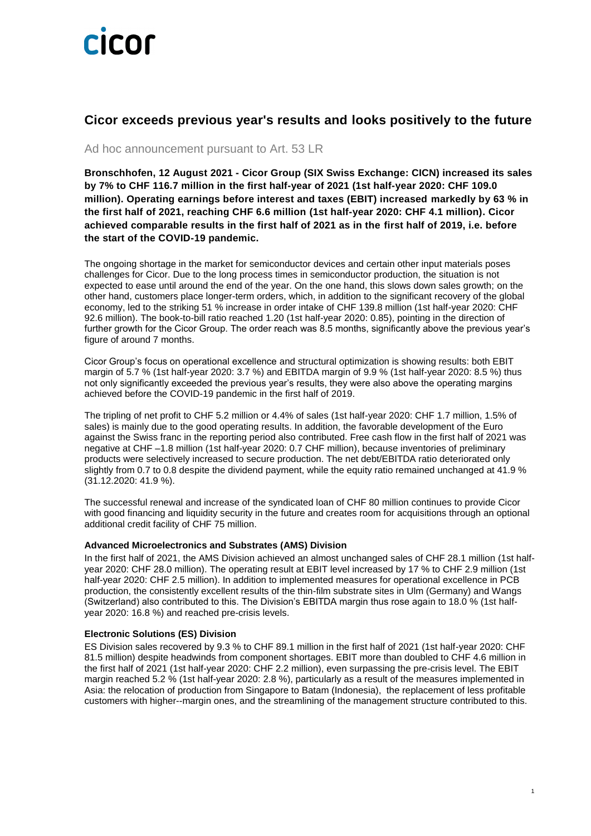

### **Cicor exceeds previous year's results and looks positively to the future**

Ad hoc announcement pursuant to Art. 53 LR

**Bronschhofen, 12 August 2021 - Cicor Group (SIX Swiss Exchange: CICN) increased its sales by 7% to CHF 116.7 million in the first half-year of 2021 (1st half-year 2020: CHF 109.0 million). Operating earnings before interest and taxes (EBIT) increased markedly by 63 % in the first half of 2021, reaching CHF 6.6 million (1st half-year 2020: CHF 4.1 million). Cicor achieved comparable results in the first half of 2021 as in the first half of 2019, i.e. before the start of the COVID-19 pandemic.**

The ongoing shortage in the market for semiconductor devices and certain other input materials poses challenges for Cicor. Due to the long process times in semiconductor production, the situation is not expected to ease until around the end of the year. On the one hand, this slows down sales growth; on the other hand, customers place longer-term orders, which, in addition to the significant recovery of the global economy, led to the striking 51 % increase in order intake of CHF 139.8 million (1st half-year 2020: CHF 92.6 million). The book-to-bill ratio reached 1.20 (1st half-year 2020: 0.85), pointing in the direction of further growth for the Cicor Group. The order reach was 8.5 months, significantly above the previous year's figure of around 7 months.

Cicor Group's focus on operational excellence and structural optimization is showing results: both EBIT margin of 5.7 % (1st half-year 2020: 3.7 %) and EBITDA margin of 9.9 % (1st half-year 2020: 8.5 %) thus not only significantly exceeded the previous year's results, they were also above the operating margins achieved before the COVID-19 pandemic in the first half of 2019.

The tripling of net profit to CHF 5.2 million or 4.4% of sales (1st half-year 2020: CHF 1.7 million, 1.5% of sales) is mainly due to the good operating results. In addition, the favorable development of the Euro against the Swiss franc in the reporting period also contributed. Free cash flow in the first half of 2021 was negative at CHF –1.8 million (1st half-year 2020: 0.7 CHF million), because inventories of preliminary products were selectively increased to secure production. The net debt/EBITDA ratio deteriorated only slightly from 0.7 to 0.8 despite the dividend payment, while the equity ratio remained unchanged at 41.9 % (31.12.2020: 41.9 %).

The successful renewal and increase of the syndicated loan of CHF 80 million continues to provide Cicor with good financing and liquidity security in the future and creates room for acquisitions through an optional additional credit facility of CHF 75 million.

#### **Advanced Microelectronics and Substrates (AMS) Division**

In the first half of 2021, the AMS Division achieved an almost unchanged sales of CHF 28.1 million (1st halfyear 2020: CHF 28.0 million). The operating result at EBIT level increased by 17 % to CHF 2.9 million (1st half-year 2020: CHF 2.5 million). In addition to implemented measures for operational excellence in PCB production, the consistently excellent results of the thin-film substrate sites in Ulm (Germany) and Wangs (Switzerland) also contributed to this. The Division's EBITDA margin thus rose again to 18.0 % (1st halfyear 2020: 16.8 %) and reached pre-crisis levels.

#### **Electronic Solutions (ES) Division**

ES Division sales recovered by 9.3 % to CHF 89.1 million in the first half of 2021 (1st half-year 2020: CHF 81.5 million) despite headwinds from component shortages. EBIT more than doubled to CHF 4.6 million in the first half of 2021 (1st half-year 2020: CHF 2.2 million), even surpassing the pre-crisis level. The EBIT margin reached 5.2 % (1st half-year 2020: 2.8 %), particularly as a result of the measures implemented in Asia: the relocation of production from Singapore to Batam (Indonesia), the replacement of less profitable customers with higher--margin ones, and the streamlining of the management structure contributed to this.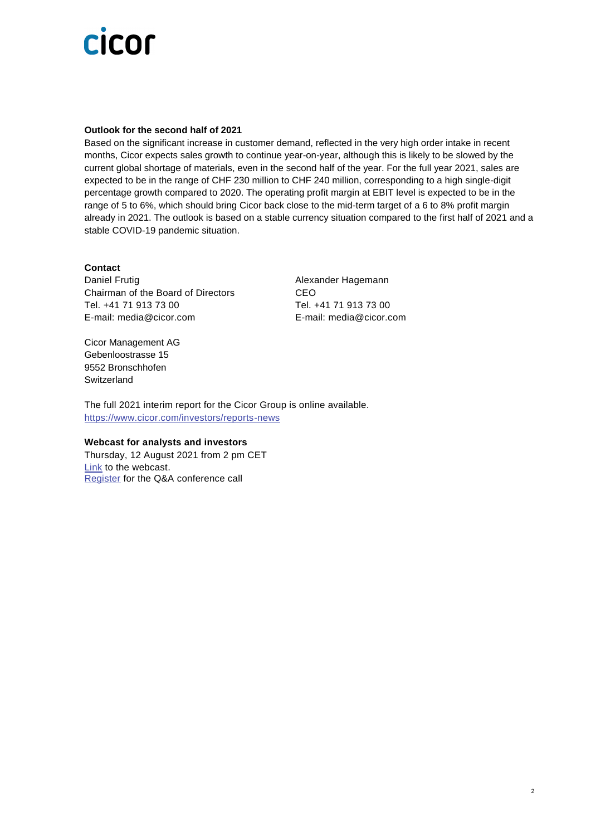# cicor

#### **Outlook for the second half of 2021**

Based on the significant increase in customer demand, reflected in the very high order intake in recent months, Cicor expects sales growth to continue year-on-year, although this is likely to be slowed by the current global shortage of materials, even in the second half of the year. For the full year 2021, sales are expected to be in the range of CHF 230 million to CHF 240 million, corresponding to a high single-digit percentage growth compared to 2020. The operating profit margin at EBIT level is expected to be in the range of 5 to 6%, which should bring Cicor back close to the mid-term target of a 6 to 8% profit margin already in 2021. The outlook is based on a stable currency situation compared to the first half of 2021 and a stable COVID-19 pandemic situation.

#### **Contact**

Daniel Frutig **Alexander Hagemann** Chairman of the Board of Directors CEO Tel. +41 71 913 73 00 Tel. +41 71 913 73 00 E-mail: [media@cicor.com](mailto:media@cicor.ch) E-mail: [media@cicor.com](mailto:media@cicor.ch)

Cicor Management AG Gebenloostrasse 15 9552 Bronschhofen **Switzerland** 

The full 2021 interim report for the Cicor Group is online available. <https://www.cicor.com/investors/reports-news>

#### **Webcast for analysts and investors**

Thursday, 12 August 2021 from 2 pm CET [Link](https://services.choruscall.com/mediaframe/webcast.html?webcastid=UlNtUbfN) to the webcast. [Register](https://services3.choruscall.ch/DiamondPassRegistration/register?confirmationNumber=7000849&linkSecurityString=7e767e501) for the Q&A conference call